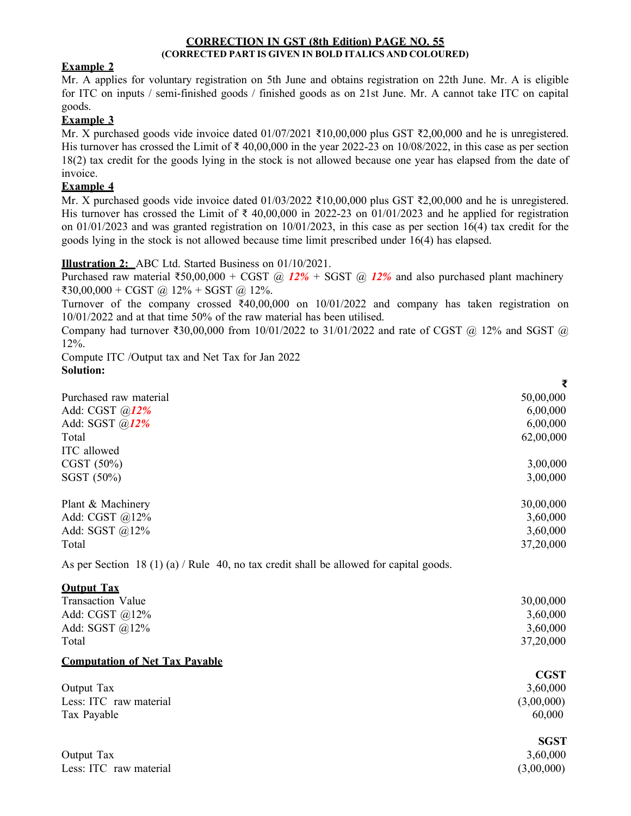### CORRECTION IN GST (8th Edition) PAGE NO. 55 (CORRECTED PART IS GIVEN IN BOLD ITALICS AND COLOURED)

## Example 2

Mr. A applies for voluntary registration on 5th June and obtains registration on 22th June. Mr. A is eligible for ITC on inputs / semi-finished goods / finished goods as on 21st June. Mr. A cannot take ITC on capital goods.

## Example 3

Mr. X purchased goods vide invoice dated  $01/07/2021$  ₹10,00,000 plus GST ₹2,00,000 and he is unregistered. His turnover has crossed the Limit of  $\bar{\tau}$  40,00,000 in the year 2022-23 on 10/08/2022, in this case as per section 18(2) tax credit for the goods lying in the stock is not allowed because one year has elapsed from the date of invoice.

# Example 4

Mr. X purchased goods vide invoice dated  $01/03/2022$  ₹10,00,000 plus GST ₹2,00,000 and he is unregistered. His turnover has crossed the Limit of  $\bar{\tau}$  40,00,000 in 2022-23 on 01/01/2023 and he applied for registration on 01/01/2023 and was granted registration on 10/01/2023, in this case as per section 16(4) tax credit for the goods lying in the stock is not allowed because time limit prescribed under 16(4) has elapsed.

## Illustration 2: ABC Ltd. Started Business on 01/10/2021.

Purchased raw material ₹50,00,000 + CGST @ 12% + SGST @ 12% and also purchased plant machinery ₹30,00,000 + CGST @ 12% + SGST @ 12%.

Turnover of the company crossed ₹40,00,000 on 10/01/2022 and company has taken registration on 10/01/2022 and at that time 50% of the raw material has been utilised.

Company had turnover ₹30,00,000 from 10/01/2022 to 31/01/2022 and rate of CGST @ 12% and SGST @ 12%.

Compute ITC /Output tax and Net Tax for Jan 2022 Solution:

|                                                                                        | ₹         |
|----------------------------------------------------------------------------------------|-----------|
| Purchased raw material                                                                 | 50,00,000 |
| Add: CGST $@12%$                                                                       | 6,00,000  |
| Add: SGST $@12%$                                                                       | 6,00,000  |
| Total                                                                                  | 62,00,000 |
| ITC allowed                                                                            |           |
| CGST (50%)                                                                             | 3,00,000  |
| SGST (50%)                                                                             | 3,00,000  |
| Plant & Machinery                                                                      | 30,00,000 |
| Add: CGST $@12\%$                                                                      | 3,60,000  |
| Add: SGST $@12\%$                                                                      | 3,60,000  |
| Total                                                                                  | 37,20,000 |
| As per Section 18 (1) (a) / Rule 40, no tax credit shall be allowed for capital goods. |           |
| <b>Output Tax</b>                                                                      |           |

| <u>Vaibat Tax</u>                     |             |
|---------------------------------------|-------------|
| <b>Transaction Value</b>              | 30,00,000   |
| Add: CGST @12%                        | 3,60,000    |
| Add: SGST $@12\%$                     | 3,60,000    |
| Total                                 | 37,20,000   |
| <b>Computation of Net Tax Pavable</b> |             |
|                                       | <b>CGST</b> |
| Output Tax                            | 3,60,000    |
| Less: ITC raw material                | (3,00,000)  |
| Tax Payable                           | 60,000      |
|                                       | <b>SGST</b> |
| Output Tax                            | 3,60,000    |
| Less: ITC raw material                | (3,00,000)  |
|                                       |             |